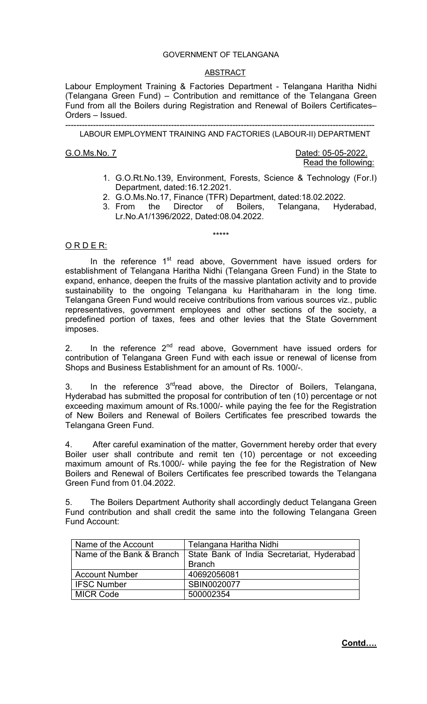## GOVERNMENT OF TELANGANA

### ABSTRACT

Labour Employment Training & Factories Department - Telangana Haritha Nidhi (Telangana Green Fund) – Contribution and remittance of the Telangana Green Fund from all the Boilers during Registration and Renewal of Boilers Certificates– Orders – Issued.

--------------------------------------------------------------------------------------------------------------- LABOUR EMPLOYMENT TRAINING AND FACTORIES (LABOUR-II) DEPARTMENT

G.O.Ms.No. 7 Dated: 05-05-2022. Read the following:

- 1. G.O.Rt.No.139, Environment, Forests, Science & Technology (For.I) Department, dated:16.12.2021.
- 2. G.O.Ms.No.17, Finance (TFR) Department, dated:18.02.2022.
- 3. From the Director of Boilers, Telangana, Hyderabad, Lr.No.A1/1396/2022, Dated:08.04.2022.

\*\*\*\*\*

## ORDER:

In the reference  $1<sup>st</sup>$  read above, Government have issued orders for establishment of Telangana Haritha Nidhi (Telangana Green Fund) in the State to expand, enhance, deepen the fruits of the massive plantation activity and to provide sustainability to the ongoing Telangana ku Harithaharam in the long time. Telangana Green Fund would receive contributions from various sources viz., public representatives, government employees and other sections of the society, a predefined portion of taxes, fees and other levies that the State Government imposes.

2. In the reference  $2^{nd}$  read above, Government have issued orders for contribution of Telangana Green Fund with each issue or renewal of license from Shops and Business Establishment for an amount of Rs. 1000/-.

3. In the reference  $3^{rd}$ read above, the Director of Boilers, Telangana, Hyderabad has submitted the proposal for contribution of ten (10) percentage or not exceeding maximum amount of Rs.1000/- while paying the fee for the Registration of New Boilers and Renewal of Boilers Certificates fee prescribed towards the Telangana Green Fund.

4. After careful examination of the matter, Government hereby order that every Boiler user shall contribute and remit ten (10) percentage or not exceeding maximum amount of Rs.1000/- while paying the fee for the Registration of New Boilers and Renewal of Boilers Certificates fee prescribed towards the Telangana Green Fund from 01.04.2022.

5. The Boilers Department Authority shall accordingly deduct Telangana Green Fund contribution and shall credit the same into the following Telangana Green Fund Account:

| <b>Name of the Account</b> | Telangana Haritha Nidhi                                                |
|----------------------------|------------------------------------------------------------------------|
|                            | Name of the Bank & Branch   State Bank of India Secretariat, Hyderabad |
|                            | <b>Branch</b>                                                          |
| <b>Account Number</b>      | 40692056081                                                            |
| <b>IFSC Number</b>         | SBIN0020077                                                            |
| MICR Code                  | 500002354                                                              |

**Contd….**